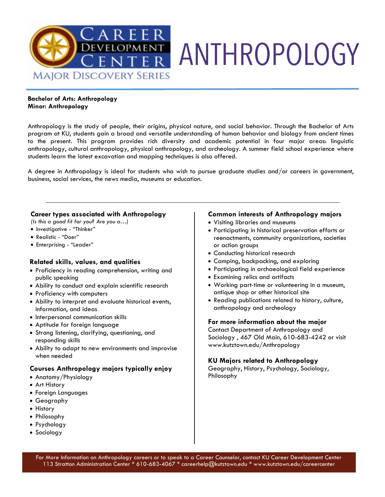

### **Bachelor of Arts: Anthropology Minor: Anthropology**

Anthropology is the study of people, their origins, physical nature, and social behavior. Through the Bachelor of Arts program at KU, students gain a broad and versatile understanding of human behavior and biology from ancient times to the present. This program provides rich diversity and academic potential in four major areas: linguistic anthropology, cultural anthropology, physical anthropology, and archeology. A summer field school experience where students learn the latest excavation and mapping techniques is also offered.

A degree in Anthropology is ideal for students who wish to pursue graduate studies and/or careers in government, business, social services, the news media, museums or education.

### **Career types associated with Anthropology**

*(Is this a good fit for you? Are you a…)* 

- Investigative "Thinker"
- Realistic "Doer"
- Enterprising "Leader"

### **Related skills, values, and qualities**

- Proficiency in reading comprehension, writing and public speaking
- Ability to conduct and explain scientific research
- Proficiency with computers
- Ability to interpret and evaluate historical events, information, and ideas
- Interpersonal communication skills
- Aptitude for foreign language
- Strong listening, clarifying, questioning, and responding skills
- Ability to adapt to new environments and improvise when needed

### **Courses Anthropology majors typically enjoy**

- Anatomy/Physiology
- Art History
- Foreign Languages
- Geography
- History
- Philosophy
- Psychology
- Sociology

### **Common interests of Anthropology majors**

- Visiting libraries and museums
- Participating in historical preservation efforts or reenactments, community organizations, societies or action groups
- Conducting historical research
- Camping, backpacking, and exploring
- Participating in archaeological field experience
- Examining relics and artifacts
- Working part-time or volunteering in a museum, antique shop or other historical site
- Reading publications related to history, culture, anthropology and archeology

### **For more information about the major**

Contact Department of Anthropology and Sociology , 467 Old Main, 610-683-4242 or visit www.kutztown.edu/Anthropology

### **KU Majors related to Anthropology**

Geography, History, Psychology, Sociology, Philosophy

For More Information on Anthropology careers or to speak to a Career Counselor, contact KU Career Development Center 113 Stratton Administration Center \* 610-683-4067 \* careerhelp@kutztown.edu \* www.kutztown.edu/careercenter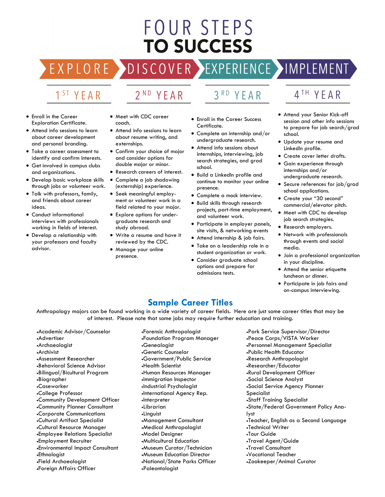# FOUR STEPS **TO SUCCESS**

DISCOVER EXPERIENCE MAPLEMENT RE

## 1<sup>ST</sup> YEAR

EXPLO

# 2<sup>ND</sup> YEAR

### $3<sup>RD</sup>$ YEAR

- Enroll in the Career Exploration Certificate.
- Attend info sessions to learn about career development and personal branding.
- Take a career assessment to identify and confirm interests.
- Get involved in campus clubs and organizations.
- Develop basic workplace skills through jobs or volunteer work.
- Talk with professors, family, and friends about career ideas.
- Conduct informational interviews with professionals working in fields of interest.
- Develop a relationship with your professors and faculty advisor.
- Meet with CDC career coach.
- Attend info sessions to learn about resume writing, and externships.
- Confirm your choice of major and consider options for double major or minor.
- Research careers of interest.
- Complete a job shadowing (externship) experience.
- Seek meaningful employment or volunteer work in a field related to your major.
- Explore options for undergraduate research and study abroad.
- Write a resume and have it reviewed by the CDC.
- Manage your online presence.
- Enroll in the Career Success Certificate.
- Complete an internship and/or undergraduate research.
- Attend info sessions about internships, interviewing, job search strategies, and grad school.
- Build a LinkedIn profile and continue to monitor your online presence.
- Complete a mock interview.
- Build skills through research projects, part-time employment, and volunteer work.
- Participate in employer panels, site visits, & networking events
- Attend internship & job fairs.
- Take on a leadership role in a student organization or work.
- Consider graduate school options and prepare for admissions tests.
- 4<sup>TH</sup> YEAR
- Attend your Senior Kick-off session and other info sessions to prepare for job search/grad school.
- Update your resume and LinkedIn profile.
- Create cover letter drafts.
- Gain experience through internships and/or undergraduate research.
- Secure references for job/grad school applications.
- Create your "30 second" commercial/elevator pitch.
- Meet with CDC to develop job search strategies.
- Research employers.
- Network with professionals through events and social media.
- Join a professional organization in your discipline.
- Attend the senior etiquette luncheon or dinner.
- Participate in job fairs and on-campus interviewing.

### **Sample Career Titles**

Anthropology majors can be found working in a wide variety of career fields. Here are just some career titles that may be of interest. Please note that some jobs may require further education and training.

- •Academic Advisor/Counselor •Advertiser •Archaeologist •Archivist •Assessment Researcher •Behavioral Science Advisor •Bilingual/Bicultural Program •Biographer •Caseworker •College Professor •Community Development Officer •Community Planner Consultant •Corporate Communications •Cultural Artifact Specialist •Cultural Resource Manager •Employee Relations Specialist •Employment Recruiter •Environmental Impact Consultant •Ethnologist •Field Archaeologist •Foreign Affairs Officer
- •Forensic Anthropologist •Foundation Program Manager •Genealogist •Genetic Counselor •Government/Public Service •Health Scientist •Human Resources Manager •Immigration Inspector •Industrial Psychologist •International Agency Rep. •Interpreter •Librarian •Linguist •Management Consultant •Medical Anthropologist •Model Designer •Multicultural Education •Museum Curator/Technician •Museum Education Director •National/State Parks Officer •Paleontologist
- •Park Service Supervisor/Director •Peace Corps/VISTA Worker •Personnel Management Specialist •Public Health Educator •Research Anthropologist •Researcher/Educator •Rural Development Officer •Social Science Analyst •Social Service Agency Planner Specialist •Staff Training Specialist •State/Federal Government Policy Analyst •Teacher, English as a Second Language •Technical Writer •Tour Guide •Travel Agent/Guide •Travel Consultant •Vocational Teacher •Zookeeper/Animal Curator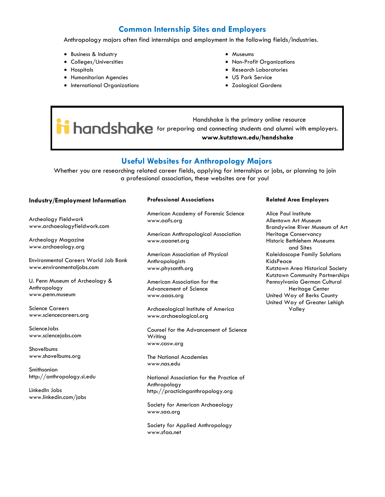### **Common Internship Sites and Employers**

Anthropology majors often find internships and employment in the following fields/industries.

- Business & Industry
- Colleges/Universities
- Hospitals
- Humanitarian Agencies
- International Organizations
- Museums
- Non-Profit Organizations
- Research Laboratories
- US Park Service
- Zoological Gardens

 Handshake is the primary online resource **help and shake** for preparing and connecting students and alumni with employers. **www.kutztown.edu/handshake**

### **Useful Websites for Anthropology Majors**

Whether you are researching related career fields, applying for internships or jobs, or planning to join a professional association, these websites are for you!

### **Industry/Employment Information**

Archeology Fieldwork www.archaeologyfieldwork.com

Archeology Magazine www.archaeology.org

Environmental Careers World Job Bank www.environmentaljobs.com

U. Penn Museum of Archeology & Anthropology www.penn.museum

Science Careers www.sciencecareers.org

ScienceJobs www.sciencejobs.com

Shovelbums www.shovelbums.org

Smithsonian http://anthropology.si.edu

LinkedIn Jobs www.linkedin.com/jobs

#### **Professional Associations**

American Academy of Forensic Science www.aafs.org

American Anthropological Association www.aaanet.org

American Association of Physical Anthropologists www.physanth.org

American Association for the Advancement of Science www.aaas.org

Archaeological Institute of America www.archaeological.org

Counsel for the Advancement of Science Writing www.casw.org

The National Academies www.nas.edu

National Association for the Practice of Anthropology http://practicinganthropology.org

Society for American Archaeology www.saa.org

Society for Applied Anthropology www.sfaa.net

#### **Related Area Employers**

Alice Paul Institute Allentown Art Museum Brandywine River Museum of Art Heritage Conservancy Historic Bethlehem Museums and Sites Kaleidoscope Family Solutions KidsPeace Kutztown Area Historical Society Kutztown Community Partnerships Pennsylvania German Cultural Heritage Center United Way of Berks County United Way of Greater Lehigh Valley